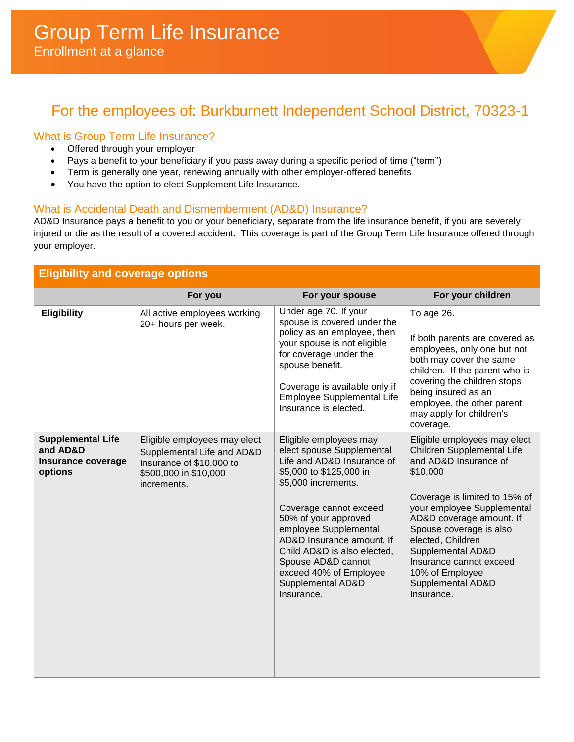# For the employees of: Burkburnett Independent School District, 70323-1

## What is Group Term Life Insurance?

- Offered through your employer
- Pays a benefit to your beneficiary if you pass away during a specific period of time ("term")
- Term is generally one year, renewing annually with other employer-offered benefits
- You have the option to elect Supplement Life Insurance.

#### What is Accidental Death and Dismemberment (AD&D) Insurance?

AD&D Insurance pays a benefit to you or your beneficiary, separate from the life insurance benefit, if you are severely injured or die as the result of a covered accident. This coverage is part of the Group Term Life Insurance offered through your employer.

| <b>Eligibility and coverage options</b>                               |                                                                                                                                |                                                                                                                                                                                                                                                                                                                                                               |                                                                                                                                                                                                                                                                                                                                                  |  |  |
|-----------------------------------------------------------------------|--------------------------------------------------------------------------------------------------------------------------------|---------------------------------------------------------------------------------------------------------------------------------------------------------------------------------------------------------------------------------------------------------------------------------------------------------------------------------------------------------------|--------------------------------------------------------------------------------------------------------------------------------------------------------------------------------------------------------------------------------------------------------------------------------------------------------------------------------------------------|--|--|
|                                                                       | For you                                                                                                                        | For your spouse                                                                                                                                                                                                                                                                                                                                               | For your children                                                                                                                                                                                                                                                                                                                                |  |  |
| <b>Eligibility</b>                                                    | All active employees working<br>20+ hours per week.                                                                            | Under age 70. If your<br>spouse is covered under the<br>policy as an employee, then<br>your spouse is not eligible<br>for coverage under the<br>spouse benefit.<br>Coverage is available only if<br><b>Employee Supplemental Life</b><br>Insurance is elected.                                                                                                | To age 26.<br>If both parents are covered as<br>employees, only one but not<br>both may cover the same<br>children. If the parent who is<br>covering the children stops<br>being insured as an<br>employee, the other parent<br>may apply for children's<br>coverage.                                                                            |  |  |
| <b>Supplemental Life</b><br>and AD&D<br>Insurance coverage<br>options | Eligible employees may elect<br>Supplemental Life and AD&D<br>Insurance of \$10,000 to<br>\$500,000 in \$10,000<br>increments. | Eligible employees may<br>elect spouse Supplemental<br>Life and AD&D Insurance of<br>\$5,000 to \$125,000 in<br>\$5,000 increments.<br>Coverage cannot exceed<br>50% of your approved<br>employee Supplemental<br>AD&D Insurance amount. If<br>Child AD&D is also elected,<br>Spouse AD&D cannot<br>exceed 40% of Employee<br>Supplemental AD&D<br>Insurance. | Eligible employees may elect<br>Children Supplemental Life<br>and AD&D Insurance of<br>\$10,000<br>Coverage is limited to 15% of<br>your employee Supplemental<br>AD&D coverage amount. If<br>Spouse coverage is also<br>elected, Children<br>Supplemental AD&D<br>Insurance cannot exceed<br>10% of Employee<br>Supplemental AD&D<br>Insurance. |  |  |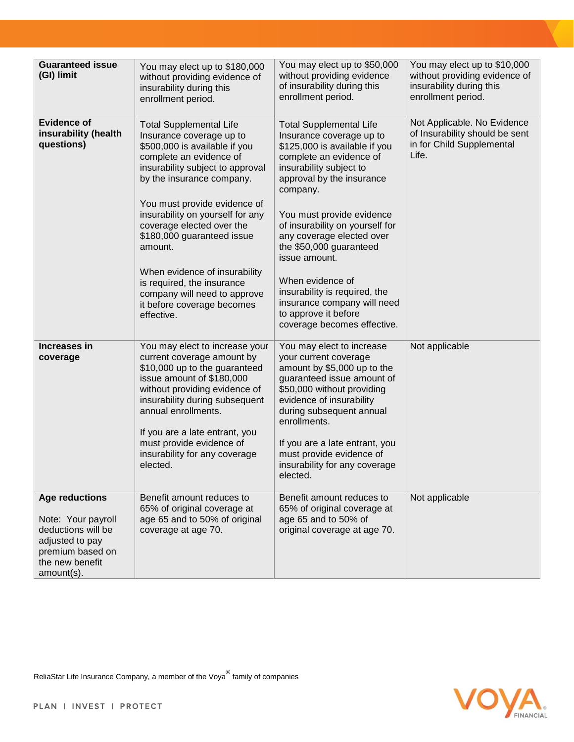| <b>Guaranteed issue</b><br>(GI) limit                                                                                                     | You may elect up to \$180,000<br>without providing evidence of<br>insurability during this<br>enrollment period.                                                                                                                                                                                                                                                                                                                                                             | You may elect up to \$50,000<br>without providing evidence<br>of insurability during this<br>enrollment period.                                                                                                                                                                                                                                                                                                                                                                | You may elect up to \$10,000<br>without providing evidence of<br>insurability during this<br>enrollment period. |
|-------------------------------------------------------------------------------------------------------------------------------------------|------------------------------------------------------------------------------------------------------------------------------------------------------------------------------------------------------------------------------------------------------------------------------------------------------------------------------------------------------------------------------------------------------------------------------------------------------------------------------|--------------------------------------------------------------------------------------------------------------------------------------------------------------------------------------------------------------------------------------------------------------------------------------------------------------------------------------------------------------------------------------------------------------------------------------------------------------------------------|-----------------------------------------------------------------------------------------------------------------|
| <b>Evidence of</b><br>insurability (health<br>questions)                                                                                  | <b>Total Supplemental Life</b><br>Insurance coverage up to<br>\$500,000 is available if you<br>complete an evidence of<br>insurability subject to approval<br>by the insurance company.<br>You must provide evidence of<br>insurability on yourself for any<br>coverage elected over the<br>\$180,000 guaranteed issue<br>amount.<br>When evidence of insurability<br>is required, the insurance<br>company will need to approve<br>it before coverage becomes<br>effective. | <b>Total Supplemental Life</b><br>Insurance coverage up to<br>\$125,000 is available if you<br>complete an evidence of<br>insurability subject to<br>approval by the insurance<br>company.<br>You must provide evidence<br>of insurability on yourself for<br>any coverage elected over<br>the \$50,000 guaranteed<br>issue amount.<br>When evidence of<br>insurability is required, the<br>insurance company will need<br>to approve it before<br>coverage becomes effective. | Not Applicable. No Evidence<br>of Insurability should be sent<br>in for Child Supplemental<br>Life.             |
| Increases in<br>coverage                                                                                                                  | You may elect to increase your<br>current coverage amount by<br>\$10,000 up to the guaranteed<br>issue amount of \$180,000<br>without providing evidence of<br>insurability during subsequent<br>annual enrollments.<br>If you are a late entrant, you<br>must provide evidence of<br>insurability for any coverage<br>elected.                                                                                                                                              | You may elect to increase<br>your current coverage<br>amount by \$5,000 up to the<br>guaranteed issue amount of<br>\$50,000 without providing<br>evidence of insurability<br>during subsequent annual<br>enrollments.<br>If you are a late entrant, you<br>must provide evidence of<br>insurability for any coverage<br>elected.                                                                                                                                               | Not applicable                                                                                                  |
| <b>Age reductions</b><br>Note: Your payroll<br>deductions will be<br>adjusted to pay<br>premium based on<br>the new benefit<br>amount(s). | Benefit amount reduces to<br>65% of original coverage at<br>age 65 and to 50% of original<br>coverage at age 70.                                                                                                                                                                                                                                                                                                                                                             | Benefit amount reduces to<br>65% of original coverage at<br>age 65 and to 50% of<br>original coverage at age 70.                                                                                                                                                                                                                                                                                                                                                               | Not applicable                                                                                                  |



ReliaStar Life Insurance Company, a member of the Voya $^\circledR$  family of companies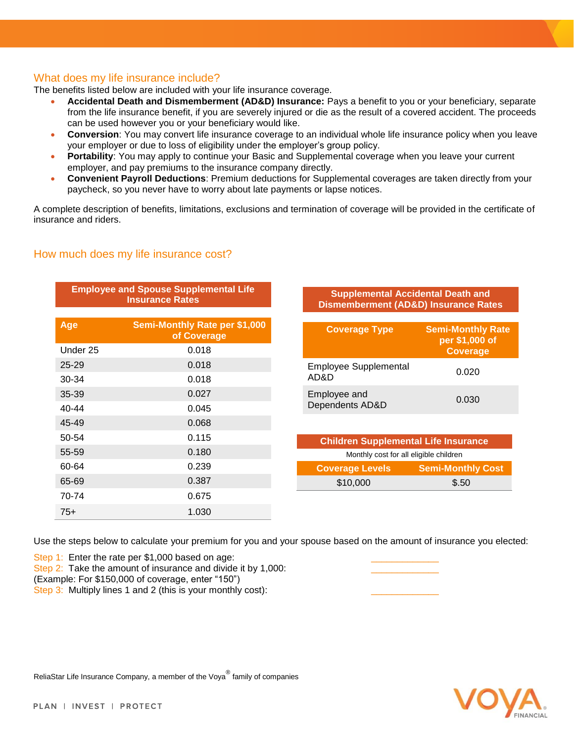#### What does my life insurance include?

The benefits listed below are included with your life insurance coverage.

- **Accidental Death and Dismemberment (AD&D) Insurance:** Pays a benefit to you or your beneficiary, separate from the life insurance benefit, if you are severely injured or die as the result of a covered accident. The proceeds can be used however you or your beneficiary would like.
- **Conversion**: You may convert life insurance coverage to an individual whole life insurance policy when you leave your employer or due to loss of eligibility under the employer's group policy.
- **Portability**: You may apply to continue your Basic and Supplemental coverage when you leave your current employer, and pay premiums to the insurance company directly.
- **Convenient Payroll Deductions**: Premium deductions for Supplemental coverages are taken directly from your paycheck, so you never have to worry about late payments or lapse notices.

A complete description of benefits, limitations, exclusions and termination of coverage will be provided in the certificate of insurance and riders.

## How much does my life insurance cost?

| <b>Employee and Spouse Supplemental Life</b><br><b>Insurance Rates</b> |                                                     |  |  |
|------------------------------------------------------------------------|-----------------------------------------------------|--|--|
| Age                                                                    | <b>Semi-Monthly Rate per \$1,000</b><br>of Coverage |  |  |
| Under 25                                                               | 0.018                                               |  |  |
| $25 - 29$                                                              | 0.018                                               |  |  |
| 30-34                                                                  | 0.018                                               |  |  |
| 35-39                                                                  | 0.027                                               |  |  |
| $40 - 44$                                                              | 0.045                                               |  |  |
| 45-49                                                                  | 0.068                                               |  |  |
| 50-54                                                                  | 0.115                                               |  |  |
| 55-59                                                                  | 0.180                                               |  |  |
| 60-64                                                                  | 0.239                                               |  |  |
| 65-69                                                                  | 0.387                                               |  |  |
| 70-74                                                                  | 0.675                                               |  |  |
| $75+$                                                                  | 1.030                                               |  |  |

**Supplemental Accidental Death and Dismemberment (AD&D) Insurance Rates**

| <b>Coverage Type</b>                 | <b>Semi-Monthly Rate</b><br>per \$1,000 of<br><b>Coverage</b> |
|--------------------------------------|---------------------------------------------------------------|
| <b>Employee Supplemental</b><br>AD&D | 0.020                                                         |
| Employee and<br>Dependents AD&D      | 0.030                                                         |
|                                      |                                                               |

| <b>Children Supplemental Life Insurance</b> |                          |  |  |  |
|---------------------------------------------|--------------------------|--|--|--|
| Monthly cost for all eligible children      |                          |  |  |  |
| <b>Coverage Levels</b>                      | <b>Semi-Monthly Cost</b> |  |  |  |
| \$10,000                                    | \$.50                    |  |  |  |

Use the steps below to calculate your premium for you and your spouse based on the amount of insurance you elected:

Step 1: Enter the rate per  $$1,000$  based on age:

Step 2: Take the amount of insurance and divide it by 1,000:

(Example: For \$150,000 of coverage, enter "150")

Step 3: Multiply lines 1 and 2 (this is your monthly cost):